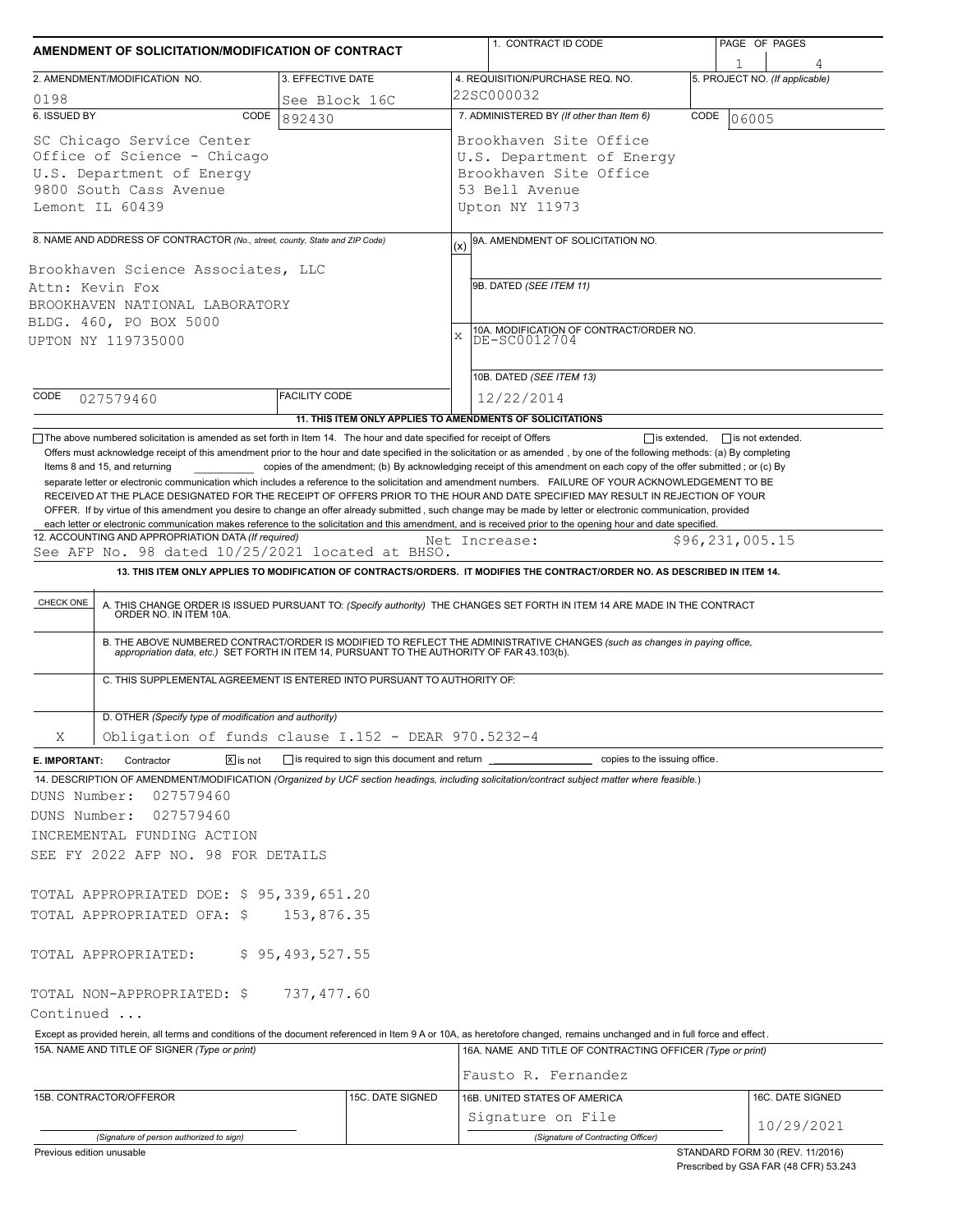| AMENDMENT OF SOLICITATION/MODIFICATION OF CONTRACT         |                                                                                                                       |                                                                                  | 1. CONTRACT ID CODE                                                                                                                                                                                                                                                                                                                                                                                                                                                                                                                                                                                                           | PAGE OF PAGES                                  |  |  |  |  |
|------------------------------------------------------------|-----------------------------------------------------------------------------------------------------------------------|----------------------------------------------------------------------------------|-------------------------------------------------------------------------------------------------------------------------------------------------------------------------------------------------------------------------------------------------------------------------------------------------------------------------------------------------------------------------------------------------------------------------------------------------------------------------------------------------------------------------------------------------------------------------------------------------------------------------------|------------------------------------------------|--|--|--|--|
|                                                            |                                                                                                                       |                                                                                  |                                                                                                                                                                                                                                                                                                                                                                                                                                                                                                                                                                                                                               |                                                |  |  |  |  |
|                                                            | 2. AMENDMENT/MODIFICATION NO.                                                                                         | 3. EFFECTIVE DATE                                                                | 4. REQUISITION/PURCHASE REQ. NO.<br>22SC000032                                                                                                                                                                                                                                                                                                                                                                                                                                                                                                                                                                                | 5. PROJECT NO. (If applicable)                 |  |  |  |  |
| 0198<br>6. ISSUED BY                                       | CODE                                                                                                                  | See Block 16C<br>892430                                                          | 7. ADMINISTERED BY (If other than Item 6)<br>CODE                                                                                                                                                                                                                                                                                                                                                                                                                                                                                                                                                                             |                                                |  |  |  |  |
|                                                            |                                                                                                                       |                                                                                  | 06005                                                                                                                                                                                                                                                                                                                                                                                                                                                                                                                                                                                                                         |                                                |  |  |  |  |
|                                                            | SC Chicago Service Center<br>Office of Science - Chicago                                                              |                                                                                  | Brookhaven Site Office<br>U.S. Department of Energy                                                                                                                                                                                                                                                                                                                                                                                                                                                                                                                                                                           |                                                |  |  |  |  |
|                                                            | U.S. Department of Energy                                                                                             |                                                                                  | Brookhaven Site Office                                                                                                                                                                                                                                                                                                                                                                                                                                                                                                                                                                                                        |                                                |  |  |  |  |
|                                                            | 9800 South Cass Avenue                                                                                                |                                                                                  | 53 Bell Avenue                                                                                                                                                                                                                                                                                                                                                                                                                                                                                                                                                                                                                |                                                |  |  |  |  |
| Lemont IL 60439                                            |                                                                                                                       |                                                                                  | Upton NY 11973                                                                                                                                                                                                                                                                                                                                                                                                                                                                                                                                                                                                                |                                                |  |  |  |  |
|                                                            |                                                                                                                       |                                                                                  |                                                                                                                                                                                                                                                                                                                                                                                                                                                                                                                                                                                                                               |                                                |  |  |  |  |
|                                                            | 8. NAME AND ADDRESS OF CONTRACTOR (No., street, county, State and ZIP Code)                                           |                                                                                  | 9A. AMENDMENT OF SOLICITATION NO.<br>(x)                                                                                                                                                                                                                                                                                                                                                                                                                                                                                                                                                                                      |                                                |  |  |  |  |
|                                                            | Brookhaven Science Associates, LLC                                                                                    |                                                                                  |                                                                                                                                                                                                                                                                                                                                                                                                                                                                                                                                                                                                                               |                                                |  |  |  |  |
| Attn: Kevin Fox                                            |                                                                                                                       |                                                                                  | 9B. DATED (SEE ITEM 11)                                                                                                                                                                                                                                                                                                                                                                                                                                                                                                                                                                                                       |                                                |  |  |  |  |
|                                                            | BROOKHAVEN NATIONAL LABORATORY                                                                                        |                                                                                  |                                                                                                                                                                                                                                                                                                                                                                                                                                                                                                                                                                                                                               |                                                |  |  |  |  |
|                                                            | BLDG. 460, PO BOX 5000                                                                                                |                                                                                  | 10A. MODIFICATION OF CONTRACT/ORDER NO.<br>$\bar{x}$                                                                                                                                                                                                                                                                                                                                                                                                                                                                                                                                                                          |                                                |  |  |  |  |
|                                                            | UPTON NY 119735000                                                                                                    |                                                                                  | DE-SC0012704                                                                                                                                                                                                                                                                                                                                                                                                                                                                                                                                                                                                                  |                                                |  |  |  |  |
|                                                            |                                                                                                                       |                                                                                  |                                                                                                                                                                                                                                                                                                                                                                                                                                                                                                                                                                                                                               |                                                |  |  |  |  |
| CODE                                                       |                                                                                                                       | <b>FACILITY CODE</b>                                                             | 10B. DATED (SEE ITEM 13)                                                                                                                                                                                                                                                                                                                                                                                                                                                                                                                                                                                                      |                                                |  |  |  |  |
|                                                            | 027579460                                                                                                             |                                                                                  | 12/22/2014                                                                                                                                                                                                                                                                                                                                                                                                                                                                                                                                                                                                                    |                                                |  |  |  |  |
|                                                            | The above numbered solicitation is amended as set forth in Item 14. The hour and date specified for receipt of Offers |                                                                                  | 11. THIS ITEM ONLY APPLIES TO AMENDMENTS OF SOLICITATIONS                                                                                                                                                                                                                                                                                                                                                                                                                                                                                                                                                                     | $\Box$ is extended,<br>$\Box$ is not extended. |  |  |  |  |
|                                                            |                                                                                                                       |                                                                                  | separate letter or electronic communication which includes a reference to the solicitation and amendment numbers. FAILURE OF YOUR ACKNOWLEDGEMENT TO BE<br>RECEIVED AT THE PLACE DESIGNATED FOR THE RECEIPT OF OFFERS PRIOR TO THE HOUR AND DATE SPECIFIED MAY RESULT IN REJECTION OF YOUR<br>OFFER. If by virtue of this amendment you desire to change an offer already submitted, such change may be made by letter or electronic communication, provided<br>each letter or electronic communication makes reference to the solicitation and this amendment, and is received prior to the opening hour and date specified. |                                                |  |  |  |  |
|                                                            |                                                                                                                       |                                                                                  | Net Increase:                                                                                                                                                                                                                                                                                                                                                                                                                                                                                                                                                                                                                 | \$96,231,005.15                                |  |  |  |  |
|                                                            | 12. ACCOUNTING AND APPROPRIATION DATA (If required)                                                                   |                                                                                  |                                                                                                                                                                                                                                                                                                                                                                                                                                                                                                                                                                                                                               |                                                |  |  |  |  |
|                                                            | See AFP No. 98 dated 10/25/2021 located at BHSO.                                                                      |                                                                                  |                                                                                                                                                                                                                                                                                                                                                                                                                                                                                                                                                                                                                               |                                                |  |  |  |  |
|                                                            |                                                                                                                       |                                                                                  | 13. THIS ITEM ONLY APPLIES TO MODIFICATION OF CONTRACTS/ORDERS. IT MODIFIES THE CONTRACT/ORDER NO. AS DESCRIBED IN ITEM 14.                                                                                                                                                                                                                                                                                                                                                                                                                                                                                                   |                                                |  |  |  |  |
| CHECK ONE                                                  |                                                                                                                       |                                                                                  | A. THIS CHANGE ORDER IS ISSUED PURSUANT TO: (Specify authority) THE CHANGES SET FORTH IN ITEM 14 ARE MADE IN THE CONTRACT ORDER NO. IN ITEM 10A.                                                                                                                                                                                                                                                                                                                                                                                                                                                                              |                                                |  |  |  |  |
|                                                            |                                                                                                                       |                                                                                  | B. THE ABOVE NUMBERED CONTRACT/ORDER IS MODIFIED TO REFLECT THE ADMINISTRATIVE CHANGES (such as changes in paying office, appropriation data, etc.) SET FORTH IN ITEM 14, PURSUANT TO THE AUTHORITY OF FAR 43.103(b).                                                                                                                                                                                                                                                                                                                                                                                                         |                                                |  |  |  |  |
|                                                            | C. THIS SUPPLEMENTAL AGREEMENT IS ENTERED INTO PURSUANT TO AUTHORITY OF:                                              |                                                                                  |                                                                                                                                                                                                                                                                                                                                                                                                                                                                                                                                                                                                                               |                                                |  |  |  |  |
|                                                            | D. OTHER (Specify type of modification and authority)                                                                 |                                                                                  |                                                                                                                                                                                                                                                                                                                                                                                                                                                                                                                                                                                                                               |                                                |  |  |  |  |
| Χ                                                          | Obligation of funds clause I.152 - DEAR 970.5232-4                                                                    |                                                                                  |                                                                                                                                                                                                                                                                                                                                                                                                                                                                                                                                                                                                                               |                                                |  |  |  |  |
|                                                            | $\boxed{\mathsf{x}}$ is not<br>Contractor                                                                             | is required to sign this document and return ___________________________________ | copies to the issuing office.                                                                                                                                                                                                                                                                                                                                                                                                                                                                                                                                                                                                 |                                                |  |  |  |  |
|                                                            |                                                                                                                       |                                                                                  | 14. DESCRIPTION OF AMENDMENT/MODIFICATION (Organized by UCF section headings, including solicitation/contract subject matter where feasible.)                                                                                                                                                                                                                                                                                                                                                                                                                                                                                 |                                                |  |  |  |  |
|                                                            | 027579460                                                                                                             |                                                                                  |                                                                                                                                                                                                                                                                                                                                                                                                                                                                                                                                                                                                                               |                                                |  |  |  |  |
|                                                            | 027579460                                                                                                             |                                                                                  |                                                                                                                                                                                                                                                                                                                                                                                                                                                                                                                                                                                                                               |                                                |  |  |  |  |
|                                                            | INCREMENTAL FUNDING ACTION                                                                                            |                                                                                  |                                                                                                                                                                                                                                                                                                                                                                                                                                                                                                                                                                                                                               |                                                |  |  |  |  |
|                                                            | SEE FY 2022 AFP NO. 98 FOR DETAILS                                                                                    |                                                                                  |                                                                                                                                                                                                                                                                                                                                                                                                                                                                                                                                                                                                                               |                                                |  |  |  |  |
|                                                            |                                                                                                                       |                                                                                  |                                                                                                                                                                                                                                                                                                                                                                                                                                                                                                                                                                                                                               |                                                |  |  |  |  |
|                                                            | TOTAL APPROPRIATED DOE: \$ 95,339,651.20                                                                              |                                                                                  |                                                                                                                                                                                                                                                                                                                                                                                                                                                                                                                                                                                                                               |                                                |  |  |  |  |
|                                                            | TOTAL APPROPRIATED OFA: \$                                                                                            | 153,876.35                                                                       |                                                                                                                                                                                                                                                                                                                                                                                                                                                                                                                                                                                                                               |                                                |  |  |  |  |
|                                                            | TOTAL APPROPRIATED:                                                                                                   | \$95,493,527.55                                                                  |                                                                                                                                                                                                                                                                                                                                                                                                                                                                                                                                                                                                                               |                                                |  |  |  |  |
|                                                            |                                                                                                                       |                                                                                  |                                                                                                                                                                                                                                                                                                                                                                                                                                                                                                                                                                                                                               |                                                |  |  |  |  |
|                                                            | TOTAL NON-APPROPRIATED: \$                                                                                            | 737,477.60                                                                       |                                                                                                                                                                                                                                                                                                                                                                                                                                                                                                                                                                                                                               |                                                |  |  |  |  |
|                                                            |                                                                                                                       |                                                                                  |                                                                                                                                                                                                                                                                                                                                                                                                                                                                                                                                                                                                                               |                                                |  |  |  |  |
|                                                            |                                                                                                                       |                                                                                  | Except as provided herein, all terms and conditions of the document referenced in Item 9 A or 10A, as heretofore changed, remains unchanged and in full force and effect.                                                                                                                                                                                                                                                                                                                                                                                                                                                     |                                                |  |  |  |  |
|                                                            | 15A. NAME AND TITLE OF SIGNER (Type or print)                                                                         |                                                                                  | 16A. NAME AND TITLE OF CONTRACTING OFFICER (Type or print)                                                                                                                                                                                                                                                                                                                                                                                                                                                                                                                                                                    |                                                |  |  |  |  |
|                                                            |                                                                                                                       |                                                                                  | Fausto R. Fernandez                                                                                                                                                                                                                                                                                                                                                                                                                                                                                                                                                                                                           |                                                |  |  |  |  |
|                                                            | 15B. CONTRACTOR/OFFEROR                                                                                               | 15C. DATE SIGNED                                                                 | 16B. UNITED STATES OF AMERICA                                                                                                                                                                                                                                                                                                                                                                                                                                                                                                                                                                                                 | 16C. DATE SIGNED                               |  |  |  |  |
| E. IMPORTANT:<br>DUNS Number:<br>DUNS Number:<br>Continued |                                                                                                                       |                                                                                  | Signature on File                                                                                                                                                                                                                                                                                                                                                                                                                                                                                                                                                                                                             | 10/29/2021                                     |  |  |  |  |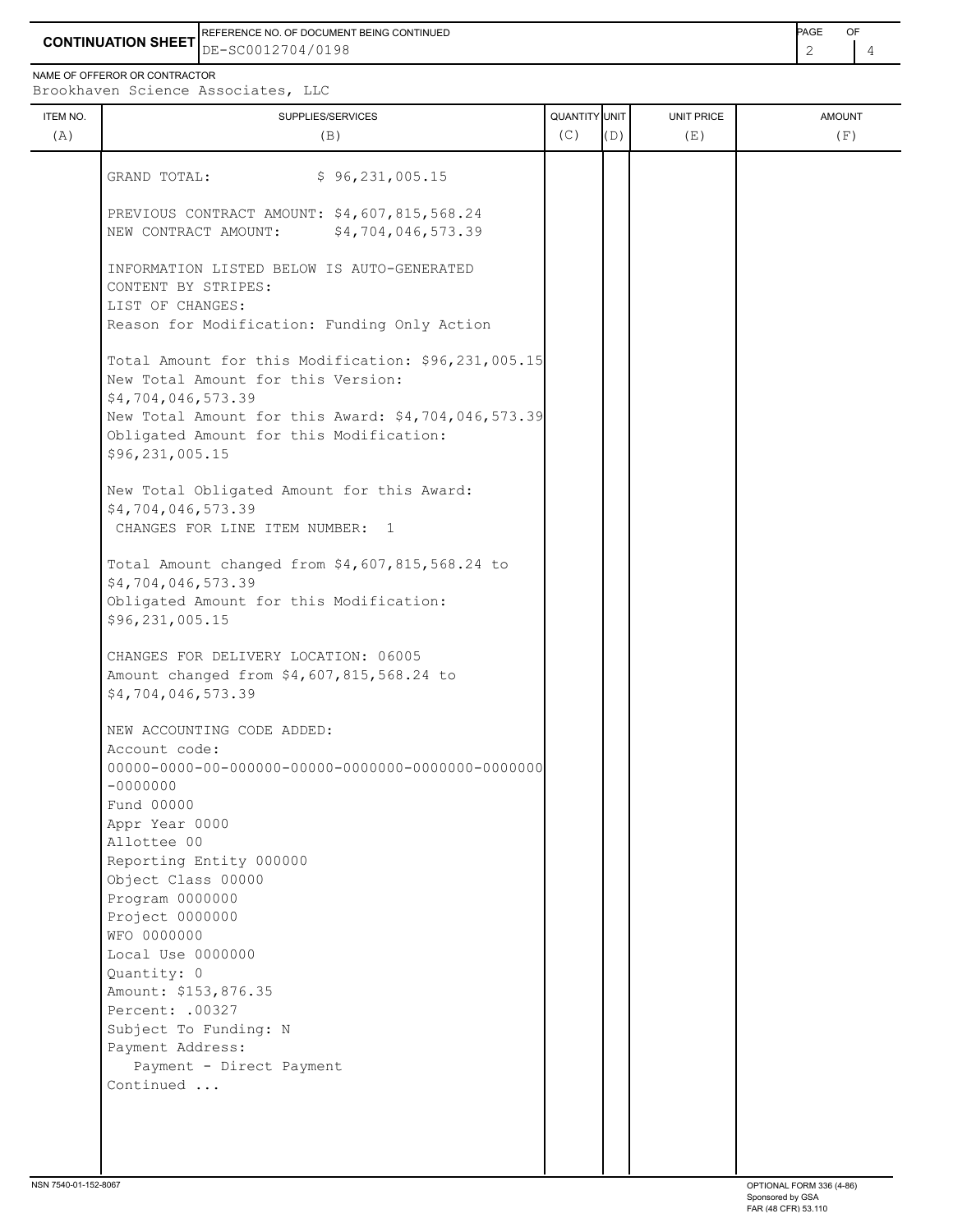**CONTINUATION SHEET** DE-SC0012704/0198 2 4 REFERENCE NO. OF DOCUMENT BEING CONTINUED **Example 2008** PAGE OF

NAME OF OFFEROR OR CONTRACTOR

Brookhaven Science Associates, LLC

| ITEM NO.<br>(A) | SUPPLIES/SERVICES<br>(B)                                                                                                                                                                                                                                                                                                                                                             | QUANTITY UNIT<br>(C) | (D) | UNIT PRICE<br>(E) | <b>AMOUNT</b><br>(F) |
|-----------------|--------------------------------------------------------------------------------------------------------------------------------------------------------------------------------------------------------------------------------------------------------------------------------------------------------------------------------------------------------------------------------------|----------------------|-----|-------------------|----------------------|
|                 | \$96, 231, 005.15<br>GRAND TOTAL:                                                                                                                                                                                                                                                                                                                                                    |                      |     |                   |                      |
|                 | PREVIOUS CONTRACT AMOUNT: \$4,607,815,568.24<br>NEW CONTRACT AMOUNT:<br>\$4,704,046,573.39                                                                                                                                                                                                                                                                                           |                      |     |                   |                      |
|                 | INFORMATION LISTED BELOW IS AUTO-GENERATED<br>CONTENT BY STRIPES:<br>LIST OF CHANGES:<br>Reason for Modification: Funding Only Action                                                                                                                                                                                                                                                |                      |     |                   |                      |
|                 | Total Amount for this Modification: \$96,231,005.15<br>New Total Amount for this Version:<br>\$4,704,046,573.39<br>New Total Amount for this Award: \$4,704,046,573.39<br>Obligated Amount for this Modification:<br>\$96,231,005.15                                                                                                                                                 |                      |     |                   |                      |
|                 | New Total Obligated Amount for this Award:<br>\$4,704,046,573.39<br>CHANGES FOR LINE ITEM NUMBER: 1                                                                                                                                                                                                                                                                                  |                      |     |                   |                      |
|                 | Total Amount changed from \$4,607,815,568.24 to<br>\$4,704,046,573.39<br>Obligated Amount for this Modification:<br>\$96,231,005.15                                                                                                                                                                                                                                                  |                      |     |                   |                      |
|                 | CHANGES FOR DELIVERY LOCATION: 06005<br>Amount changed from \$4,607,815,568.24 to<br>\$4,704,046,573.39                                                                                                                                                                                                                                                                              |                      |     |                   |                      |
|                 | NEW ACCOUNTING CODE ADDED:<br>Account code:<br>$-0000000$<br>Fund 00000<br>Appr Year 0000<br>Allottee 00<br>Reporting Entity 000000<br>Object Class 00000<br>Program 0000000<br>Project 0000000<br>WFO 0000000<br>Local Use 0000000<br>Quantity: 0<br>Amount: \$153,876.35<br>Percent: . 00327<br>Subject To Funding: N<br>Payment Address:<br>Payment - Direct Payment<br>Continued |                      |     |                   |                      |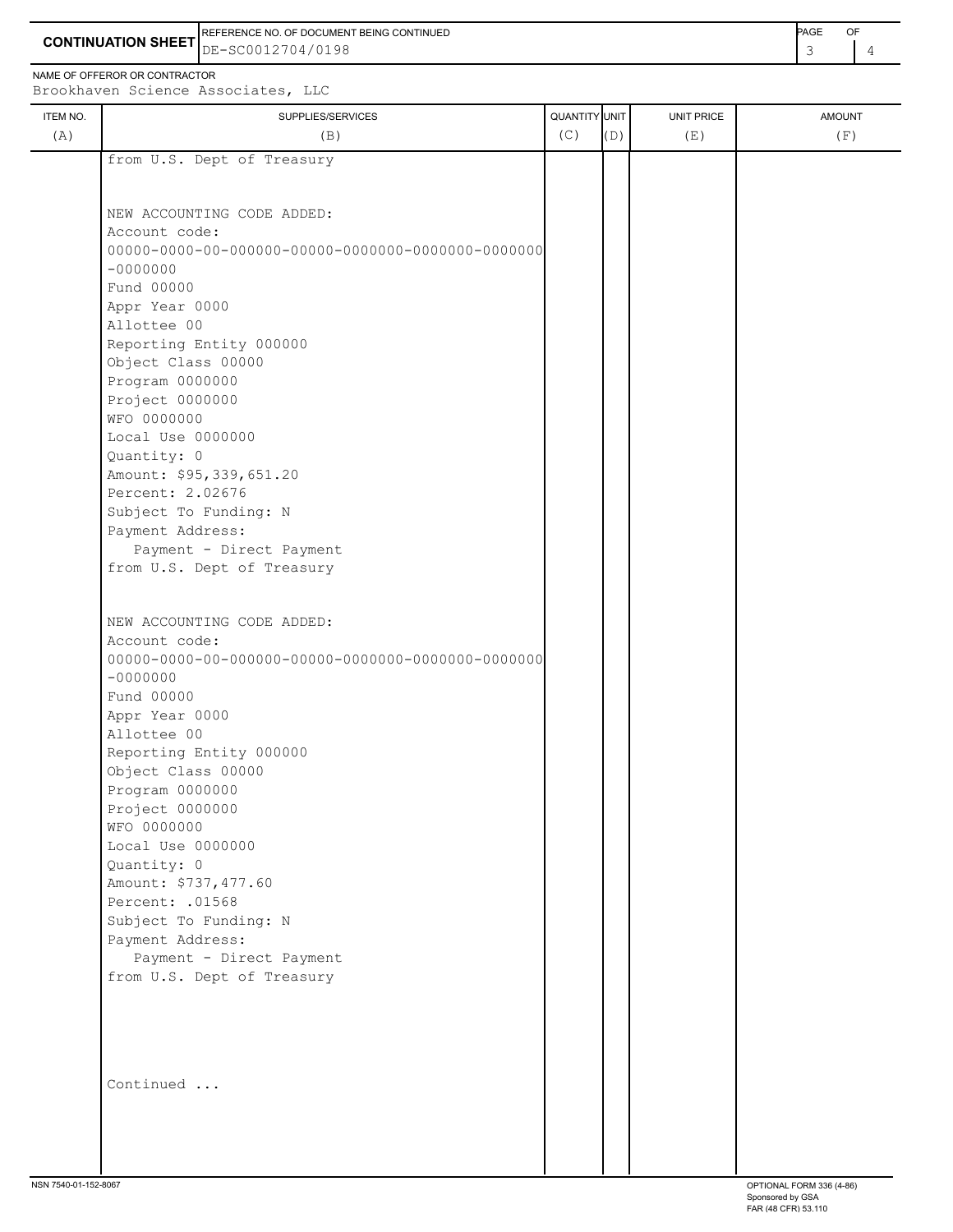3 4 **CONTINUATION SHEET** DE-SC0012704/0198 REFERENCE NO. OF DOCUMENT BEING CONTINUED **EXAMPLE 2008** PAGE OF

NAME OF OFFEROR OR CONTRACTOR

|          | Brookhaven Science Associates, LLC |               |     |            |               |
|----------|------------------------------------|---------------|-----|------------|---------------|
| ITEM NO. | SUPPLIES/SERVICES                  | QUANTITY UNIT |     | UNIT PRICE | <b>AMOUNT</b> |
| (A)      | (B)                                | (C)           | (D) | (E)        | (F)           |
|          | from U.S. Dept of Treasury         |               |     |            |               |
|          |                                    |               |     |            |               |
|          | NEW ACCOUNTING CODE ADDED:         |               |     |            |               |
|          | Account code:                      |               |     |            |               |
|          |                                    |               |     |            |               |
|          | $-0000000$                         |               |     |            |               |
|          | Fund 00000                         |               |     |            |               |
|          | Appr Year 0000                     |               |     |            |               |
|          | Allottee 00                        |               |     |            |               |
|          | Reporting Entity 000000            |               |     |            |               |
|          | Object Class 00000                 |               |     |            |               |
|          | Program 0000000                    |               |     |            |               |
|          | Project 0000000                    |               |     |            |               |
|          | WFO 0000000                        |               |     |            |               |
|          | Local Use 0000000                  |               |     |            |               |
|          | Quantity: 0                        |               |     |            |               |
|          | Amount: \$95,339,651.20            |               |     |            |               |
|          | Percent: 2.02676                   |               |     |            |               |
|          | Subject To Funding: N              |               |     |            |               |
|          | Payment Address:                   |               |     |            |               |
|          | Payment - Direct Payment           |               |     |            |               |
|          | from U.S. Dept of Treasury         |               |     |            |               |
|          |                                    |               |     |            |               |
|          | NEW ACCOUNTING CODE ADDED:         |               |     |            |               |
|          | Account code:                      |               |     |            |               |
|          |                                    |               |     |            |               |
|          | $-0000000$                         |               |     |            |               |
|          | Fund 00000                         |               |     |            |               |
|          | Appr Year 0000                     |               |     |            |               |
|          | Allottee 00                        |               |     |            |               |
|          | Reporting Entity 000000            |               |     |            |               |
|          | Object Class 00000                 |               |     |            |               |
|          | Program 0000000<br>Project 0000000 |               |     |            |               |
|          | WFO 0000000                        |               |     |            |               |
|          | Local Use 0000000                  |               |     |            |               |
|          | Quantity: 0                        |               |     |            |               |
|          | Amount: \$737,477.60               |               |     |            |               |
|          | Percent: . 01568                   |               |     |            |               |
|          | Subject To Funding: N              |               |     |            |               |
|          | Payment Address:                   |               |     |            |               |
|          | Payment - Direct Payment           |               |     |            |               |
|          | from U.S. Dept of Treasury         |               |     |            |               |
|          |                                    |               |     |            |               |
|          |                                    |               |     |            |               |
|          |                                    |               |     |            |               |
|          |                                    |               |     |            |               |
|          | Continued                          |               |     |            |               |
|          |                                    |               |     |            |               |
|          |                                    |               |     |            |               |
|          |                                    |               |     |            |               |
|          |                                    |               |     |            |               |
|          |                                    |               |     |            |               |